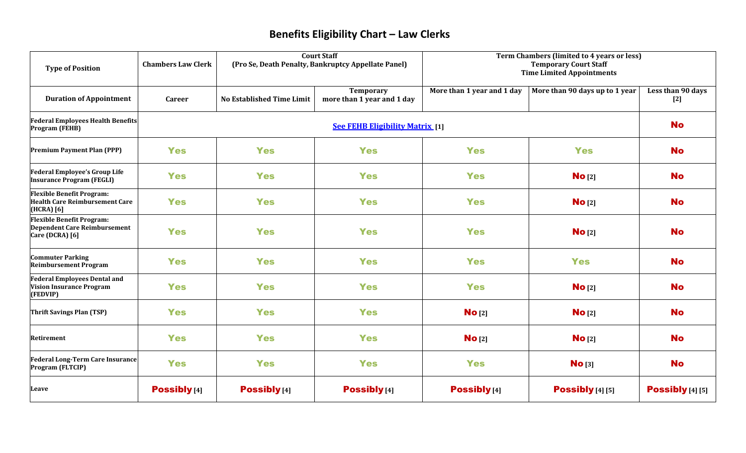## **Benefits Eligibility Chart – Law Clerks**

| <b>Type of Position</b>                                                                    | <b>Chambers Law Clerk</b>              | <b>Court Staff</b><br>(Pro Se, Death Penalty, Bankruptcy Appellate Panel) |                                                | Term Chambers (limited to 4 years or less)<br><b>Temporary Court Staff</b><br><b>Time Limited Appointments</b> |                                |                            |
|--------------------------------------------------------------------------------------------|----------------------------------------|---------------------------------------------------------------------------|------------------------------------------------|----------------------------------------------------------------------------------------------------------------|--------------------------------|----------------------------|
| <b>Duration of Appointment</b>                                                             | <b>Career</b>                          | <b>No Established Time Limit</b>                                          | <b>Temporary</b><br>more than 1 year and 1 day | More than 1 year and 1 day                                                                                     | More than 90 days up to 1 year | Less than 90 days<br>$[2]$ |
| <b>Federal Employees Health Benefits</b><br><b>Program (FEHB)</b>                          | <b>See FEHB Eligibility Matrix</b> [1] |                                                                           |                                                |                                                                                                                |                                | <b>No</b>                  |
| <b>Premium Payment Plan (PPP)</b>                                                          | <b>Yes</b>                             | <b>Yes</b>                                                                | <b>Yes</b>                                     | <b>Yes</b>                                                                                                     | <b>Yes</b>                     | <b>No</b>                  |
| <b>Federal Employee's Group Life</b><br><b>Insurance Program (FEGLI)</b>                   | <b>Yes</b>                             | <b>Yes</b>                                                                | <b>Yes</b>                                     | <b>Yes</b>                                                                                                     | No [2]                         | <b>No</b>                  |
| <b>Flexible Benefit Program:</b><br><b>Health Care Reimbursement Care</b><br>(HCRA) [6]    | <b>Yes</b>                             | <b>Yes</b>                                                                | <b>Yes</b>                                     | <b>Yes</b>                                                                                                     | No [2]                         | <b>No</b>                  |
| <b>Flexible Benefit Program:</b><br><b>Dependent Care Reimbursement</b><br>Care (DCRA) [6] | <b>Yes</b>                             | <b>Yes</b>                                                                | <b>Yes</b>                                     | <b>Yes</b>                                                                                                     | No [2]                         | <b>No</b>                  |
| <b>Commuter Parking</b><br><b>Reimbursement Program</b>                                    | <b>Yes</b>                             | <b>Yes</b>                                                                | <b>Yes</b>                                     | <b>Yes</b>                                                                                                     | <b>Yes</b>                     | <b>No</b>                  |
| <b>Federal Employees Dental and</b><br>Vision Insurance Program<br>(FEDVIP)                | <b>Yes</b>                             | <b>Yes</b>                                                                | <b>Yes</b>                                     | <b>Yes</b>                                                                                                     | No [2]                         | <b>No</b>                  |
| Thrift Savings Plan (TSP)                                                                  | <b>Yes</b>                             | <b>Yes</b>                                                                | <b>Yes</b>                                     | No <sub>[2]</sub>                                                                                              | No [2]                         | <b>No</b>                  |
| Retirement                                                                                 | <b>Yes</b>                             | <b>Yes</b>                                                                | <b>Yes</b>                                     | No [2]                                                                                                         | No <sub>[2]</sub>              | <b>No</b>                  |
| <b>Federal Long-Term Care Insurance</b><br>Program (FLTCIP)                                | <b>Yes</b>                             | <b>Yes</b>                                                                | <b>Yes</b>                                     | <b>Yes</b>                                                                                                     | No <sub>[3]</sub>              | <b>No</b>                  |
| Leave                                                                                      | <b>Possibly</b> [4]                    | <b>Possibly</b> [4]                                                       | <b>Possibly</b> [4]                            | <b>Possibly</b> [4]                                                                                            | <b>Possibly</b> $[4] [5]$      | <b>Possibly</b> [4] [5]    |